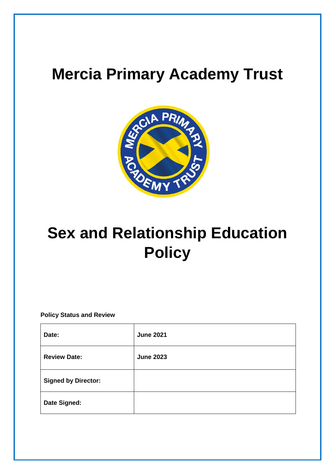## **Mercia Primary Academy Trust**



# **Sex and Relationship Education Policy**

**Policy Status and Review**

| Date:                      | <b>June 2021</b> |
|----------------------------|------------------|
| <b>Review Date:</b>        | <b>June 2023</b> |
| <b>Signed by Director:</b> |                  |
| Date Signed:               |                  |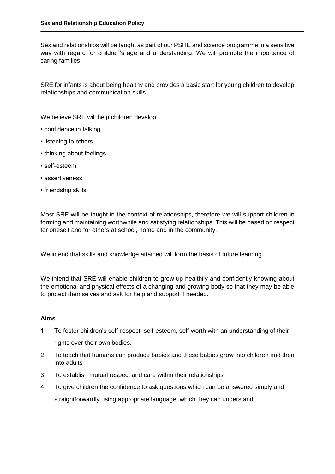Sex and relationships will be taught as part of our PSHE and science programme in a sensitive way with regard for children's age and understanding. We will promote the importance of caring families.

SRE for infants is about being healthy and provides a basic start for young children to develop relationships and communication skills.

We believe SRE will help children develop:

- confidence in talking
- listening to others
- thinking about feelings
- self-esteem
- assertiveness
- friendship skills

Most SRE will be taught in the context of relationships, therefore we will support children in forming and maintaining worthwhile and satisfying relationships. This will be based on respect for oneself and for others at school, home and in the community.

We intend that skills and knowledge attained will form the basis of future learning.

We intend that SRE will enable children to grow up healthily and confidently knowing about the emotional and physical effects of a changing and growing body so that they may be able to protect themselves and ask for help and support if needed.

### **Aims**

- 1 To foster children's self-respect, self-esteem, self-worth with an understanding of their rights over their own bodies.
- 2 To teach that humans can produce babies and these babies grow into children and then into adults
- 3 To establish mutual respect and care within their relationships
- 4 To give children the confidence to ask questions which can be answered simply and straightforwardly using appropriate language, which they can understand.